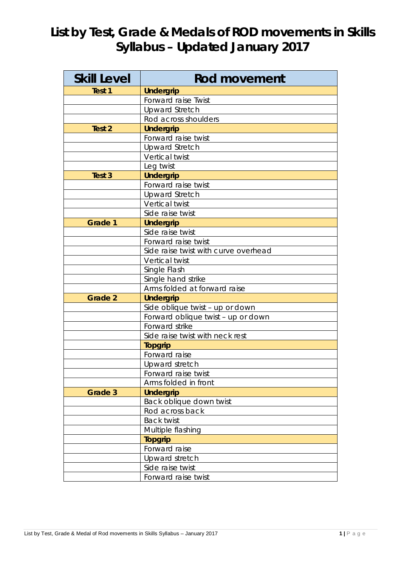## **List by Test, Grade & Medals of ROD movements in Skills Syllabus – Updated January 2017**

| <b>Skill Level</b> | <b>Rod movement</b>                  |
|--------------------|--------------------------------------|
| Test 1             | <b>Undergrip</b>                     |
|                    | Forward raise Twist                  |
|                    | <b>Upward Stretch</b>                |
|                    | Rod across shoulders                 |
| Test 2             | <b>Undergrip</b>                     |
|                    | Forward raise twist                  |
|                    | <b>Upward Stretch</b>                |
|                    | Vertical twist                       |
|                    | Leg twist                            |
| Test <sub>3</sub>  | <b>Undergrip</b>                     |
|                    | Forward raise twist                  |
|                    | <b>Upward Stretch</b>                |
|                    | Vertical twist                       |
|                    | Side raise twist                     |
| Grade 1            | <b>Undergrip</b>                     |
|                    | Side raise twist                     |
|                    | Forward raise twist                  |
|                    | Side raise twist with curve overhead |
|                    | Vertical twist                       |
|                    | Single Flash                         |
|                    | Single hand strike                   |
|                    | Arms folded at forward raise         |
| <b>Grade 2</b>     | <b>Undergrip</b>                     |
|                    | Side oblique twist - up or down      |
|                    | Forward oblique twist - up or down   |
|                    | Forward strike                       |
|                    | Side raise twist with neck rest      |
|                    | <b>Topgrip</b>                       |
|                    | Forward raise                        |
|                    | Upward stretch                       |
|                    | Forward raise twist                  |
|                    | Arms folded in front                 |
| Grade 3            | <b>Undergrip</b>                     |
|                    | Back oblique down twist              |
|                    | Rod across back                      |
|                    | <b>Back twist</b>                    |
|                    | Multiple flashing                    |
|                    | <b>Topgrip</b>                       |
|                    | Forward raise                        |
|                    | Upward stretch                       |
|                    | Side raise twist                     |
|                    | Forward raise twist                  |